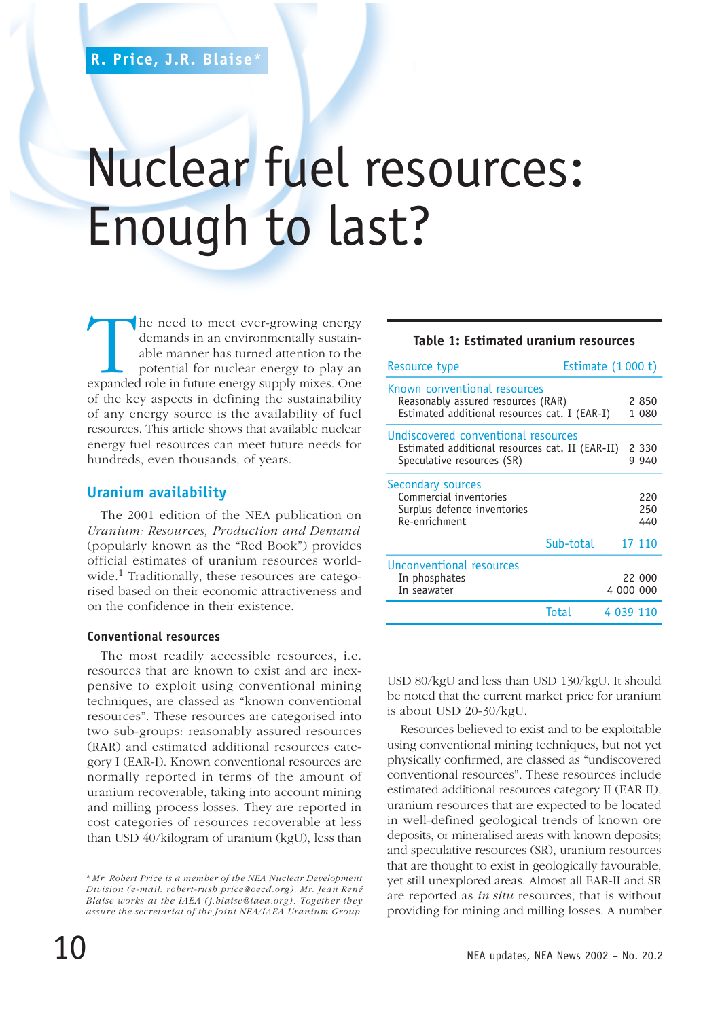# Nuclear fuel resources: Enough to last?

The need to meet ever-growing energy demands in an environmentally sustainable manner has turned attention to the potential for nuclear energy to play an expanded role in future energy supply mixes. One demands in an environmentally sustainable manner has turned attention to the potential for nuclear energy to play an of the key aspects in defining the sustainability of any energy source is the availability of fuel resources. This article shows that available nuclear energy fuel resources can meet future needs for hundreds, even thousands, of years.

## **Uranium availability**

The 2001 edition of the NEA publication on *Uranium: Resources, Production and Demand* (popularly known as the "Red Book") provides official estimates of uranium resources worldwide.1 Traditionally, these resources are categorised based on their economic attractiveness and on the confidence in their existence.

#### **Conventional resources**

The most readily accessible resources, i.e. resources that are known to exist and are inexpensive to exploit using conventional mining techniques, are classed as "known conventional resources". These resources are categorised into two sub-groups: reasonably assured resources (RAR) and estimated additional resources category I (EAR-I). Known conventional resources are normally reported in terms of the amount of uranium recoverable, taking into account mining and milling process losses. They are reported in cost categories of resources recoverable at less than USD 40/kilogram of uranium (kgU), less than

#### **Table 1: Estimated uranium resources**

| Resource type                                                                                                        | Estimate $(1000 t)$ |           |                   |
|----------------------------------------------------------------------------------------------------------------------|---------------------|-----------|-------------------|
| Known conventional resources<br>Reasonably assured resources (RAR)<br>Estimated additional resources cat. I (EAR-I)  |                     |           | 2850<br>1 080     |
| Undiscovered conventional resources<br>Estimated additional resources cat. II (EAR-II)<br>Speculative resources (SR) |                     |           | 2 330<br>9 940    |
| <b>Secondary sources</b><br>Commercial inventories<br>Surplus defence inventories<br>Re-enrichment                   |                     |           | 220<br>250<br>440 |
|                                                                                                                      | Sub-total           |           | 17 110            |
| <b>Unconventional resources</b><br>In phosphates<br>In seawater                                                      |                     | 4 000 000 | 22 000            |
|                                                                                                                      | <b>Total</b>        | 4 039 110 |                   |

USD 80/kgU and less than USD 130/kgU. It should be noted that the current market price for uranium is about USD 20-30/kgU.

Resources believed to exist and to be exploitable using conventional mining techniques, but not yet physically confirmed, are classed as "undiscovered conventional resources". These resources include estimated additional resources category II (EAR II), uranium resources that are expected to be located in well-defined geological trends of known ore deposits, or mineralised areas with known deposits; and speculative resources (SR), uranium resources that are thought to exist in geologically favourable, yet still unexplored areas. Almost all EAR-II and SR are reported as *in situ* resources, that is without providing for mining and milling losses. A number

*<sup>\*</sup> Mr. Robert Price is a member of the NEA Nuclear Development Division (e-mail: robert-rush.price@oecd.org). Mr. Jean René Blaise works at the IAEA (j.blaise@iaea.org). Together they assure the secretariat of the Joint NEA/IAEA Uranium Group.*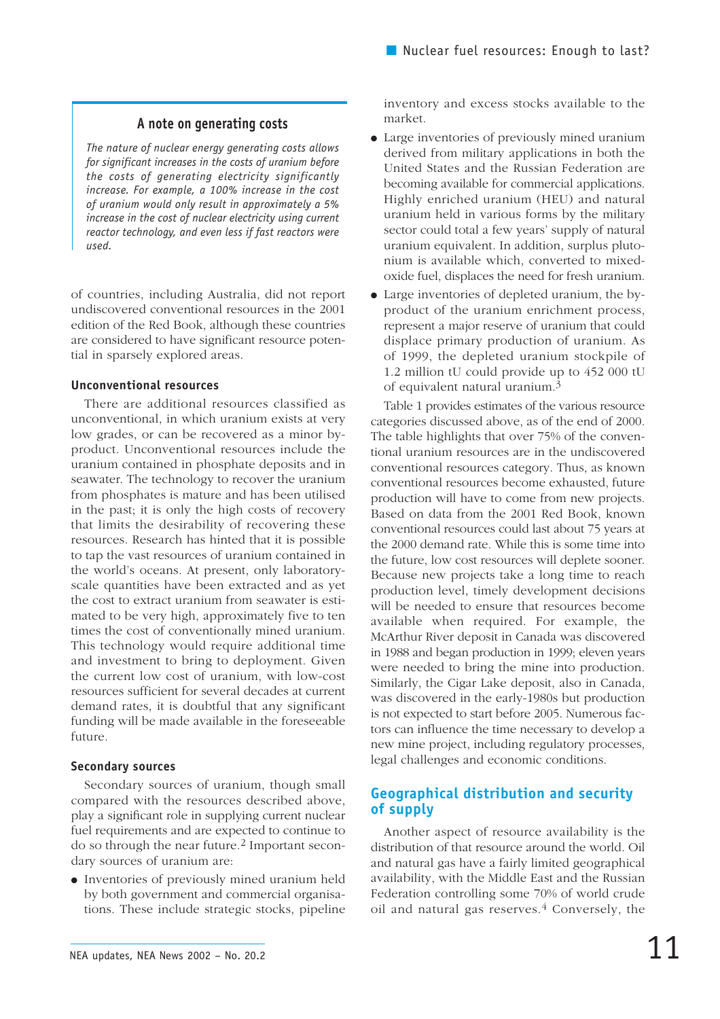## **A note on generating costs**

*The nature of nuclear energy generating costs allows for significant increases in the costs of uranium before the costs of generating electricity significantly increase. For example, a 100% increase in the cost of uranium would only result in approximately a 5% increase in the cost of nuclear electricity using current reactor technology, and even less if fast reactors were used.*

of countries, including Australia, did not report undiscovered conventional resources in the 2001 edition of the Red Book, although these countries are considered to have significant resource potential in sparsely explored areas.

#### **Unconventional resources**

There are additional resources classified as unconventional, in which uranium exists at very low grades, or can be recovered as a minor byproduct. Unconventional resources include the uranium contained in phosphate deposits and in seawater. The technology to recover the uranium from phosphates is mature and has been utilised in the past; it is only the high costs of recovery that limits the desirability of recovering these resources. Research has hinted that it is possible to tap the vast resources of uranium contained in the world's oceans. At present, only laboratoryscale quantities have been extracted and as yet the cost to extract uranium from seawater is estimated to be very high, approximately five to ten times the cost of conventionally mined uranium. This technology would require additional time and investment to bring to deployment. Given the current low cost of uranium, with low-cost resources sufficient for several decades at current demand rates, it is doubtful that any significant funding will be made available in the foreseeable future.

## **Secondary sources**

Secondary sources of uranium, though small compared with the resources described above, play a significant role in supplying current nuclear fuel requirements and are expected to continue to do so through the near future.2 Important secondary sources of uranium are:

● Inventories of previously mined uranium held by both government and commercial organisations. These include strategic stocks, pipeline

inventory and excess stocks available to the market.

- Large inventories of previously mined uranium derived from military applications in both the United States and the Russian Federation are becoming available for commercial applications. Highly enriched uranium (HEU) and natural uranium held in various forms by the military sector could total a few years' supply of natural uranium equivalent. In addition, surplus plutonium is available which, converted to mixedoxide fuel, displaces the need for fresh uranium.
- Large inventories of depleted uranium, the byproduct of the uranium enrichment process, represent a major reserve of uranium that could displace primary production of uranium. As of 1999, the depleted uranium stockpile of 1.2 million tU could provide up to 452 000 tU of equivalent natural uranium.3

Table 1 provides estimates of the various resource categories discussed above, as of the end of 2000. The table highlights that over 75% of the conventional uranium resources are in the undiscovered conventional resources category. Thus, as known conventional resources become exhausted, future production will have to come from new projects. Based on data from the 2001 Red Book, known conventional resources could last about 75 years at the 2000 demand rate. While this is some time into the future, low cost resources will deplete sooner. Because new projects take a long time to reach production level, timely development decisions will be needed to ensure that resources become available when required. For example, the McArthur River deposit in Canada was discovered in 1988 and began production in 1999; eleven years were needed to bring the mine into production. Similarly, the Cigar Lake deposit, also in Canada, was discovered in the early-1980s but production is not expected to start before 2005. Numerous factors can influence the time necessary to develop a new mine project, including regulatory processes, legal challenges and economic conditions.

# **Geographical distribution and security of supply**

Another aspect of resource availability is the distribution of that resource around the world. Oil and natural gas have a fairly limited geographical availability, with the Middle East and the Russian Federation controlling some 70% of world crude oil and natural gas reserves. $4$  Conversely, the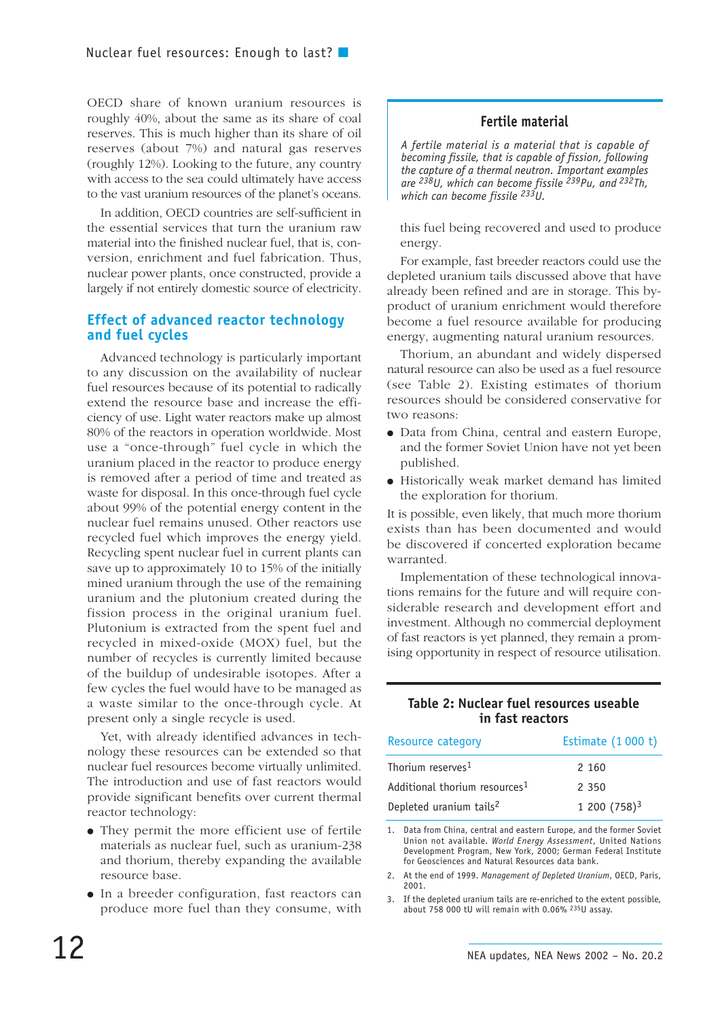OECD share of known uranium resources is roughly 40%, about the same as its share of coal reserves. This is much higher than its share of oil reserves (about 7%) and natural gas reserves (roughly 12%). Looking to the future, any country with access to the sea could ultimately have access to the vast uranium resources of the planet's oceans.

In addition, OECD countries are self-sufficient in the essential services that turn the uranium raw material into the finished nuclear fuel, that is, conversion, enrichment and fuel fabrication. Thus, nuclear power plants, once constructed, provide a largely if not entirely domestic source of electricity.

#### **Effect of advanced reactor technology and fuel cycles**

Advanced technology is particularly important to any discussion on the availability of nuclear fuel resources because of its potential to radically extend the resource base and increase the efficiency of use. Light water reactors make up almost 80% of the reactors in operation worldwide. Most use a "once-through" fuel cycle in which the uranium placed in the reactor to produce energy is removed after a period of time and treated as waste for disposal. In this once-through fuel cycle about 99% of the potential energy content in the nuclear fuel remains unused. Other reactors use recycled fuel which improves the energy yield. Recycling spent nuclear fuel in current plants can save up to approximately 10 to 15% of the initially mined uranium through the use of the remaining uranium and the plutonium created during the fission process in the original uranium fuel. Plutonium is extracted from the spent fuel and recycled in mixed-oxide (MOX) fuel, but the number of recycles is currently limited because of the buildup of undesirable isotopes. After a few cycles the fuel would have to be managed as a waste similar to the once-through cycle. At present only a single recycle is used.

Yet, with already identified advances in technology these resources can be extended so that nuclear fuel resources become virtually unlimited. The introduction and use of fast reactors would provide significant benefits over current thermal reactor technology:

- They permit the more efficient use of fertile materials as nuclear fuel, such as uranium-238 and thorium, thereby expanding the available resource base.
- In a breeder configuration, fast reactors can produce more fuel than they consume, with

## **Fertile material**

*A fertile material is a material that is capable of becoming fissile, that is capable of fission, following the capture of a thermal neutron. Important examples are 238U, which can become fissile 239Pu, and 232Th, which can become fissile 233U.*

this fuel being recovered and used to produce energy.

For example, fast breeder reactors could use the depleted uranium tails discussed above that have already been refined and are in storage. This byproduct of uranium enrichment would therefore become a fuel resource available for producing energy, augmenting natural uranium resources.

Thorium, an abundant and widely dispersed natural resource can also be used as a fuel resource (see Table 2). Existing estimates of thorium resources should be considered conservative for two reasons:

- Data from China, central and eastern Europe, and the former Soviet Union have not yet been published.
- Historically weak market demand has limited the exploration for thorium.

It is possible, even likely, that much more thorium exists than has been documented and would be discovered if concerted exploration became warranted.

Implementation of these technological innovations remains for the future and will require considerable research and development effort and investment. Although no commercial deployment of fast reactors is yet planned, they remain a promising opportunity in respect of resource utilisation.

#### **Table 2: Nuclear fuel resources useable in fast reactors**

| Resource category                         | Estimate (1 000 t) |  |  |
|-------------------------------------------|--------------------|--|--|
| Thorium reserves <sup>1</sup>             | 2 160              |  |  |
| Additional thorium resources <sup>1</sup> | 2 350              |  |  |
| Depleted uranium tails <sup>2</sup>       | $1200(758)^3$      |  |  |

1. Data from China, central and eastern Europe, and the former Soviet Union not available. *World Energy Assessment*, United Nations Development Program, New York, 2000; German Federal Institute for Geosciences and Natural Resources data bank.

2. At the end of 1999. *Management of Depleted Uranium*, OECD, Paris, 2001.

3. If the depleted uranium tails are re-enriched to the extent possible, about 758 000 tU will remain with 0.06% 235U assay.